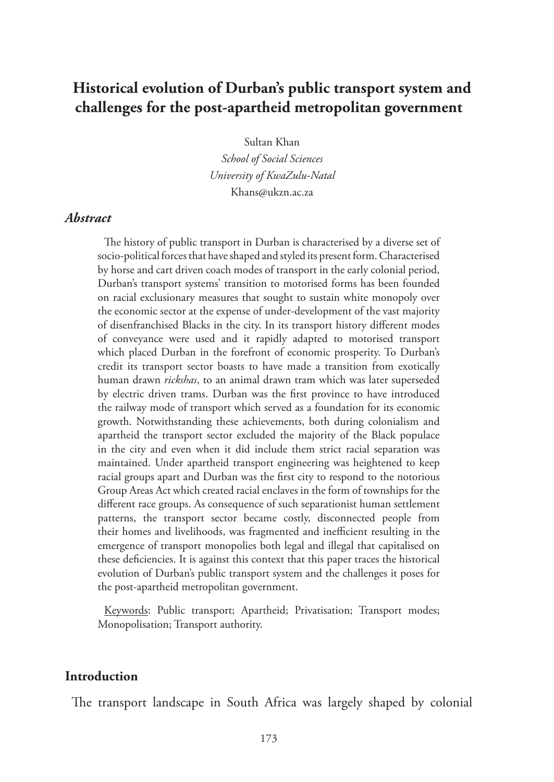# **Historical evolution of Durban's public transport system and challenges for the post-apartheid metropolitan government**

Sultan Khan

*School of Social Sciences University of KwaZulu-Natal* Khans@ukzn.ac.za

#### *Abstract*

The history of public transport in Durban is characterised by a diverse set of socio-political forces that have shaped and styled its present form. Characterised by horse and cart driven coach modes of transport in the early colonial period, Durban's transport systems' transition to motorised forms has been founded on racial exclusionary measures that sought to sustain white monopoly over the economic sector at the expense of under-development of the vast majority of disenfranchised Blacks in the city. In its transport history different modes of conveyance were used and it rapidly adapted to motorised transport which placed Durban in the forefront of economic prosperity. To Durban's credit its transport sector boasts to have made a transition from exotically human drawn *rickshas*, to an animal drawn tram which was later superseded by electric driven trams. Durban was the first province to have introduced the railway mode of transport which served as a foundation for its economic growth. Notwithstanding these achievements, both during colonialism and apartheid the transport sector excluded the majority of the Black populace in the city and even when it did include them strict racial separation was maintained. Under apartheid transport engineering was heightened to keep racial groups apart and Durban was the first city to respond to the notorious Group Areas Act which created racial enclaves in the form of townships for the different race groups. As consequence of such separationist human settlement patterns, the transport sector became costly, disconnected people from their homes and livelihoods, was fragmented and inefficient resulting in the emergence of transport monopolies both legal and illegal that capitalised on these deficiencies. It is against this context that this paper traces the historical evolution of Durban's public transport system and the challenges it poses for the post-apartheid metropolitan government.

Keywords: Public transport; Apartheid; Privatisation; Transport modes; Monopolisation; Transport authority.

#### **Introduction**

The transport landscape in South Africa was largely shaped by colonial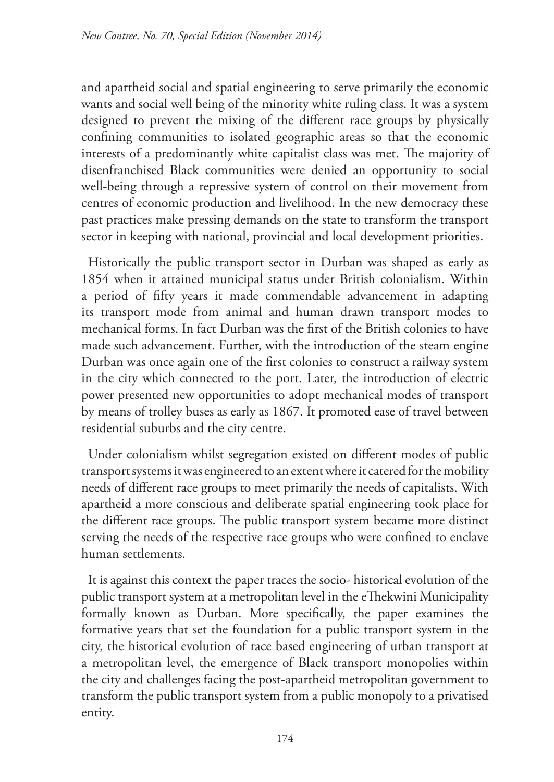and apartheid social and spatial engineering to serve primarily the economic wants and social well being of the minority white ruling class. It was a system designed to prevent the mixing of the different race groups by physically confining communities to isolated geographic areas so that the economic interests of a predominantly white capitalist class was met. The majority of disenfranchised Black communities were denied an opportunity to social well-being through a repressive system of control on their movement from centres of economic production and livelihood. In the new democracy these past practices make pressing demands on the state to transform the transport sector in keeping with national, provincial and local development priorities.

Historically the public transport sector in Durban was shaped as early as 1854 when it attained municipal status under British colonialism. Within a period of fifty years it made commendable advancement in adapting its transport mode from animal and human drawn transport modes to mechanical forms. In fact Durban was the first of the British colonies to have made such advancement. Further, with the introduction of the steam engine Durban was once again one of the first colonies to construct a railway system in the city which connected to the port. Later, the introduction of electric power presented new opportunities to adopt mechanical modes of transport by means of trolley buses as early as 1867. It promoted ease of travel between residential suburbs and the city centre.

Under colonialism whilst segregation existed on different modes of public transport systems it was engineered to an extent where it catered for the mobility needs of different race groups to meet primarily the needs of capitalists. With apartheid a more conscious and deliberate spatial engineering took place for the different race groups. The public transport system became more distinct serving the needs of the respective race groups who were confined to enclave human settlements.

It is against this context the paper traces the socio- historical evolution of the public transport system at a metropolitan level in the eThekwini Municipality formally known as Durban. More specifically, the paper examines the formative years that set the foundation for a public transport system in the city, the historical evolution of race based engineering of urban transport at a metropolitan level, the emergence of Black transport monopolies within the city and challenges facing the post-apartheid metropolitan government to transform the public transport system from a public monopoly to a privatised entity.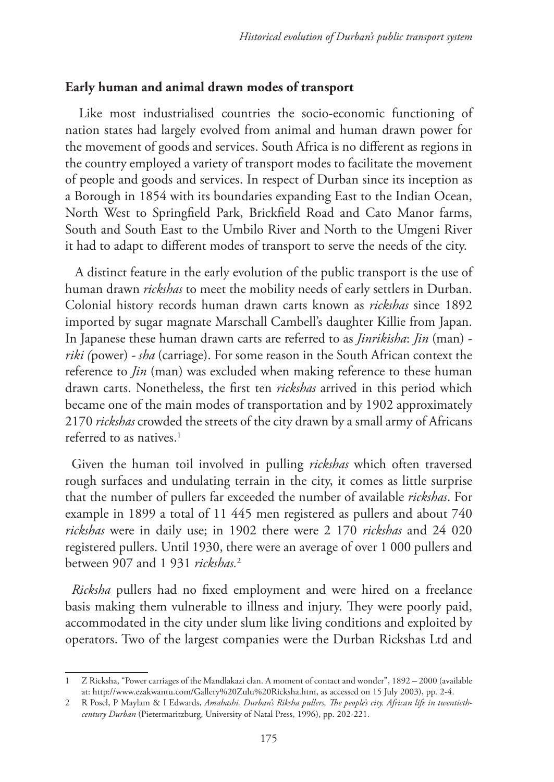#### **Early human and animal drawn modes of transport**

 Like most industrialised countries the socio-economic functioning of nation states had largely evolved from animal and human drawn power for the movement of goods and services. South Africa is no different as regions in the country employed a variety of transport modes to facilitate the movement of people and goods and services. In respect of Durban since its inception as a Borough in 1854 with its boundaries expanding East to the Indian Ocean, North West to Springfield Park, Brickfield Road and Cato Manor farms, South and South East to the Umbilo River and North to the Umgeni River it had to adapt to different modes of transport to serve the needs of the city.

 A distinct feature in the early evolution of the public transport is the use of human drawn *rickshas* to meet the mobility needs of early settlers in Durban. Colonial history records human drawn carts known as *rickshas* since 1892 imported by sugar magnate Marschall Cambell's daughter Killie from Japan. In Japanese these human drawn carts are referred to as *Jinrikisha*: *Jin* (man) *riki (*power) *- sha* (carriage). For some reason in the South African context the reference to *Jin* (man) was excluded when making reference to these human drawn carts. Nonetheless, the first ten *rickshas* arrived in this period which became one of the main modes of transportation and by 1902 approximately 2170 *rickshas* crowded the streets of the city drawn by a small army of Africans referred to as natives. $1$ 

Given the human toil involved in pulling *rickshas* which often traversed rough surfaces and undulating terrain in the city, it comes as little surprise that the number of pullers far exceeded the number of available *rickshas*. For example in 1899 a total of 11 445 men registered as pullers and about 740 *rickshas* were in daily use; in 1902 there were 2 170 *rickshas* and 24 020 registered pullers. Until 1930, there were an average of over 1 000 pullers and between 907 and 1 931 *rickshas.*<sup>2</sup>

*Ricksha* pullers had no fixed employment and were hired on a freelance basis making them vulnerable to illness and injury. They were poorly paid, accommodated in the city under slum like living conditions and exploited by operators. Two of the largest companies were the Durban Rickshas Ltd and

<sup>1</sup> Z Ricksha, "Power carriages of the Mandlakazi clan. A moment of contact and wonder", 1892 – 2000 (available at: http://www.ezakwantu.com/Gallery%20Zulu%20Ricksha.htm, as accessed on 15 July 2003), pp. 2-4.

<sup>2</sup> R Posel, P Maylam & I Edwards, *Amahashi. Durban's Riksha pullers, The people's city. African life in twentiethcentury Durban* (Pietermaritzburg, University of Natal Press, 1996), pp. 202-221.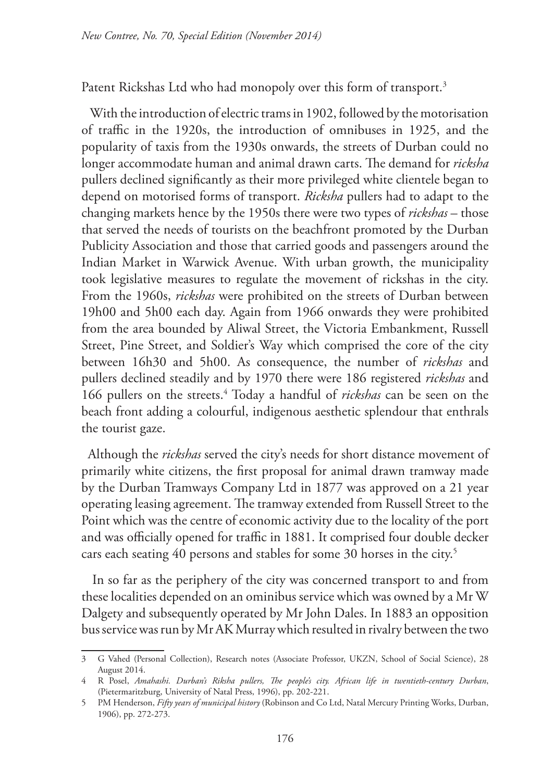Patent Rickshas Ltd who had monopoly over this form of transport.<sup>3</sup>

With the introduction of electric trams in 1902, followed by the motorisation of traffic in the 1920s, the introduction of omnibuses in 1925, and the popularity of taxis from the 1930s onwards, the streets of Durban could no longer accommodate human and animal drawn carts. The demand for *ricksha*  pullers declined significantly as their more privileged white clientele began to depend on motorised forms of transport. *Ricksha* pullers had to adapt to the changing markets hence by the 1950s there were two types of *rickshas* – those that served the needs of tourists on the beachfront promoted by the Durban Publicity Association and those that carried goods and passengers around the Indian Market in Warwick Avenue. With urban growth, the municipality took legislative measures to regulate the movement of rickshas in the city. From the 1960s, *rickshas* were prohibited on the streets of Durban between 19h00 and 5h00 each day. Again from 1966 onwards they were prohibited from the area bounded by Aliwal Street, the Victoria Embankment, Russell Street, Pine Street, and Soldier's Way which comprised the core of the city between 16h30 and 5h00. As consequence, the number of *rickshas* and pullers declined steadily and by 1970 there were 186 registered *rickshas* and 166 pullers on the streets.4 Today a handful of *rickshas* can be seen on the beach front adding a colourful, indigenous aesthetic splendour that enthrals the tourist gaze.

Although the *rickshas* served the city's needs for short distance movement of primarily white citizens, the first proposal for animal drawn tramway made by the Durban Tramways Company Ltd in 1877 was approved on a 21 year operating leasing agreement. The tramway extended from Russell Street to the Point which was the centre of economic activity due to the locality of the port and was officially opened for traffic in 1881. It comprised four double decker cars each seating 40 persons and stables for some 30 horses in the city.<sup>5</sup>

In so far as the periphery of the city was concerned transport to and from these localities depended on an ominibus service which was owned by a Mr W Dalgety and subsequently operated by Mr John Dales. In 1883 an opposition bus service was run by Mr AK Murray which resulted in rivalry between the two

<sup>3</sup> G Vahed (Personal Collection), Research notes (Associate Professor, UKZN, School of Social Science), 28 August 2014.

<sup>4</sup> R Posel, *Amahashi. Durban's Riksha pullers, The people's city. African life in twentieth-century Durban*, (Pietermaritzburg, University of Natal Press, 1996), pp. 202-221.

<sup>5</sup> PM Henderson, *Fifty years of municipal history* (Robinson and Co Ltd, Natal Mercury Printing Works, Durban, 1906), pp. 272-273.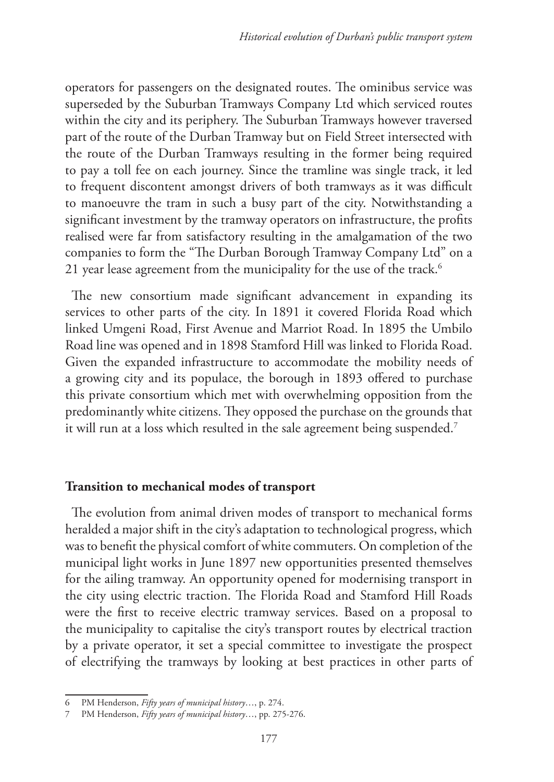operators for passengers on the designated routes. The ominibus service was superseded by the Suburban Tramways Company Ltd which serviced routes within the city and its periphery. The Suburban Tramways however traversed part of the route of the Durban Tramway but on Field Street intersected with the route of the Durban Tramways resulting in the former being required to pay a toll fee on each journey. Since the tramline was single track, it led to frequent discontent amongst drivers of both tramways as it was difficult to manoeuvre the tram in such a busy part of the city. Notwithstanding a significant investment by the tramway operators on infrastructure, the profits realised were far from satisfactory resulting in the amalgamation of the two companies to form the "The Durban Borough Tramway Company Ltd" on a 21 year lease agreement from the municipality for the use of the track.<sup>6</sup>

The new consortium made significant advancement in expanding its services to other parts of the city. In 1891 it covered Florida Road which linked Umgeni Road, First Avenue and Marriot Road. In 1895 the Umbilo Road line was opened and in 1898 Stamford Hill was linked to Florida Road. Given the expanded infrastructure to accommodate the mobility needs of a growing city and its populace, the borough in 1893 offered to purchase this private consortium which met with overwhelming opposition from the predominantly white citizens. They opposed the purchase on the grounds that it will run at a loss which resulted in the sale agreement being suspended.<sup>7</sup>

#### **Transition to mechanical modes of transport**

The evolution from animal driven modes of transport to mechanical forms heralded a major shift in the city's adaptation to technological progress, which was to benefit the physical comfort of white commuters. On completion of the municipal light works in June 1897 new opportunities presented themselves for the ailing tramway. An opportunity opened for modernising transport in the city using electric traction. The Florida Road and Stamford Hill Roads were the first to receive electric tramway services. Based on a proposal to the municipality to capitalise the city's transport routes by electrical traction by a private operator, it set a special committee to investigate the prospect of electrifying the tramways by looking at best practices in other parts of

<sup>6</sup> PM Henderson, *Fifty years of municipal history*…, p. 274.

<sup>7</sup> PM Henderson, *Fifty years of municipal history*…, pp. 275-276.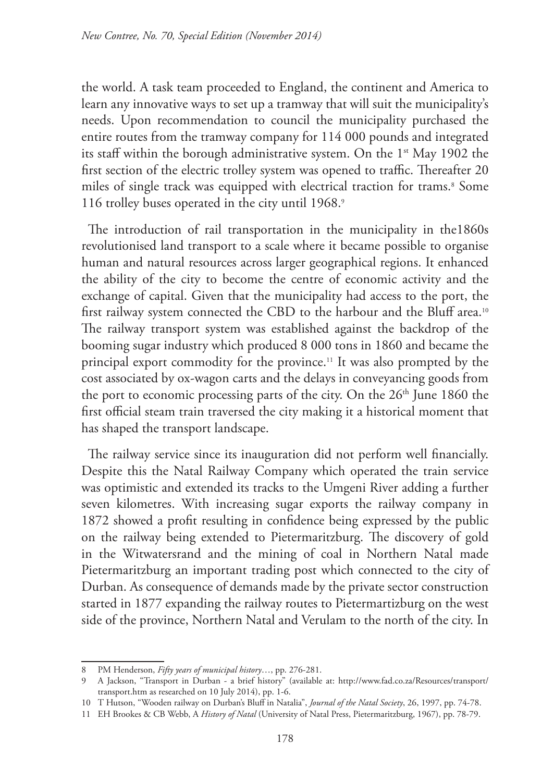the world. A task team proceeded to England, the continent and America to learn any innovative ways to set up a tramway that will suit the municipality's needs. Upon recommendation to council the municipality purchased the entire routes from the tramway company for 114 000 pounds and integrated its staff within the borough administrative system. On the 1<sup>st</sup> May 1902 the first section of the electric trolley system was opened to traffic. Thereafter 20 miles of single track was equipped with electrical traction for trams.<sup>8</sup> Some 116 trolley buses operated in the city until 1968.9

The introduction of rail transportation in the municipality in the1860s revolutionised land transport to a scale where it became possible to organise human and natural resources across larger geographical regions. It enhanced the ability of the city to become the centre of economic activity and the exchange of capital. Given that the municipality had access to the port, the first railway system connected the CBD to the harbour and the Bluff area.10 The railway transport system was established against the backdrop of the booming sugar industry which produced 8 000 tons in 1860 and became the principal export commodity for the province.11 It was also prompted by the cost associated by ox-wagon carts and the delays in conveyancing goods from the port to economic processing parts of the city. On the 26<sup>th</sup> June 1860 the first official steam train traversed the city making it a historical moment that has shaped the transport landscape.

The railway service since its inauguration did not perform well financially. Despite this the Natal Railway Company which operated the train service was optimistic and extended its tracks to the Umgeni River adding a further seven kilometres. With increasing sugar exports the railway company in 1872 showed a profit resulting in confidence being expressed by the public on the railway being extended to Pietermaritzburg. The discovery of gold in the Witwatersrand and the mining of coal in Northern Natal made Pietermaritzburg an important trading post which connected to the city of Durban. As consequence of demands made by the private sector construction started in 1877 expanding the railway routes to Pietermartizburg on the west side of the province, Northern Natal and Verulam to the north of the city. In

<sup>8</sup> PM Henderson, *Fifty years of municipal history*…, pp. 276-281.

<sup>9</sup> A Jackson, "Transport in Durban - a brief history" (available at: http://www.fad.co.za/Resources/transport/ transport.htm as researched on 10 July 2014), pp. 1-6.

<sup>10</sup> T Hutson, "Wooden railway on Durban's Bluff in Natalia", *Journal of the Natal Society*, 26, 1997, pp. 74-78.

<sup>11</sup> EH Brookes & CB Webb, A *History of Natal* (University of Natal Press, Pietermaritzburg, 1967), pp. 78-79.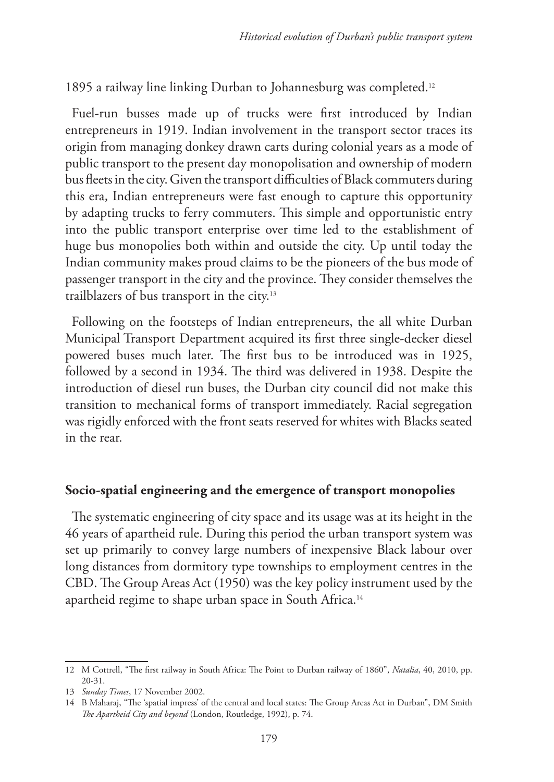1895 a railway line linking Durban to Johannesburg was completed.12

Fuel-run busses made up of trucks were first introduced by Indian entrepreneurs in 1919. Indian involvement in the transport sector traces its origin from managing donkey drawn carts during colonial years as a mode of public transport to the present day monopolisation and ownership of modern bus fleets in the city. Given the transport difficulties of Black commuters during this era, Indian entrepreneurs were fast enough to capture this opportunity by adapting trucks to ferry commuters. This simple and opportunistic entry into the public transport enterprise over time led to the establishment of huge bus monopolies both within and outside the city. Up until today the Indian community makes proud claims to be the pioneers of the bus mode of passenger transport in the city and the province. They consider themselves the trailblazers of bus transport in the city.13

Following on the footsteps of Indian entrepreneurs, the all white Durban Municipal Transport Department acquired its first three single-decker diesel powered buses much later. The first bus to be introduced was in 1925, followed by a second in 1934. The third was delivered in 1938. Despite the introduction of diesel run buses, the Durban city council did not make this transition to mechanical forms of transport immediately. Racial segregation was rigidly enforced with the front seats reserved for whites with Blacks seated in the rear.

#### **Socio-spatial engineering and the emergence of transport monopolies**

The systematic engineering of city space and its usage was at its height in the 46 years of apartheid rule. During this period the urban transport system was set up primarily to convey large numbers of inexpensive Black labour over long distances from dormitory type townships to employment centres in the CBD. The Group Areas Act (1950) was the key policy instrument used by the apartheid regime to shape urban space in South Africa.14

<sup>12</sup> M Cottrell, "The first railway in South Africa: The Point to Durban railway of 1860", *Natalia*, 40, 2010, pp. 20-31.

<sup>13</sup> *Sunday Times*, 17 November 2002.

<sup>14</sup> B Maharaj, "The 'spatial impress' of the central and local states: The Group Areas Act in Durban", DM Smith *The Apartheid City and beyond* (London, Routledge, 1992), p. 74.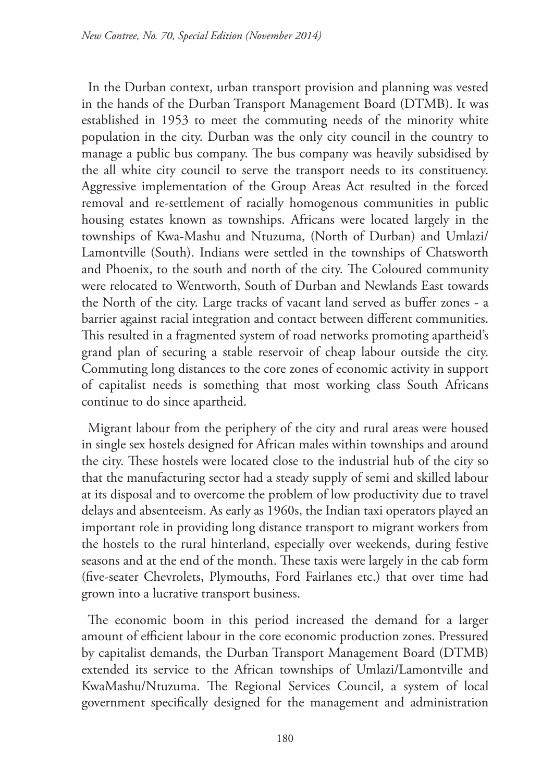In the Durban context, urban transport provision and planning was vested in the hands of the Durban Transport Management Board (DTMB). It was established in 1953 to meet the commuting needs of the minority white population in the city. Durban was the only city council in the country to manage a public bus company. The bus company was heavily subsidised by the all white city council to serve the transport needs to its constituency. Aggressive implementation of the Group Areas Act resulted in the forced removal and re-settlement of racially homogenous communities in public housing estates known as townships. Africans were located largely in the townships of Kwa-Mashu and Ntuzuma, (North of Durban) and Umlazi/ Lamontville (South). Indians were settled in the townships of Chatsworth and Phoenix, to the south and north of the city. The Coloured community were relocated to Wentworth, South of Durban and Newlands East towards the North of the city. Large tracks of vacant land served as buffer zones - a barrier against racial integration and contact between different communities. This resulted in a fragmented system of road networks promoting apartheid's grand plan of securing a stable reservoir of cheap labour outside the city. Commuting long distances to the core zones of economic activity in support of capitalist needs is something that most working class South Africans continue to do since apartheid.

Migrant labour from the periphery of the city and rural areas were housed in single sex hostels designed for African males within townships and around the city. These hostels were located close to the industrial hub of the city so that the manufacturing sector had a steady supply of semi and skilled labour at its disposal and to overcome the problem of low productivity due to travel delays and absenteeism. As early as 1960s, the Indian taxi operators played an important role in providing long distance transport to migrant workers from the hostels to the rural hinterland, especially over weekends, during festive seasons and at the end of the month. These taxis were largely in the cab form (five-seater Chevrolets, Plymouths, Ford Fairlanes etc.) that over time had grown into a lucrative transport business.

The economic boom in this period increased the demand for a larger amount of efficient labour in the core economic production zones. Pressured by capitalist demands, the Durban Transport Management Board (DTMB) extended its service to the African townships of Umlazi/Lamontville and KwaMashu/Ntuzuma. The Regional Services Council, a system of local government specifically designed for the management and administration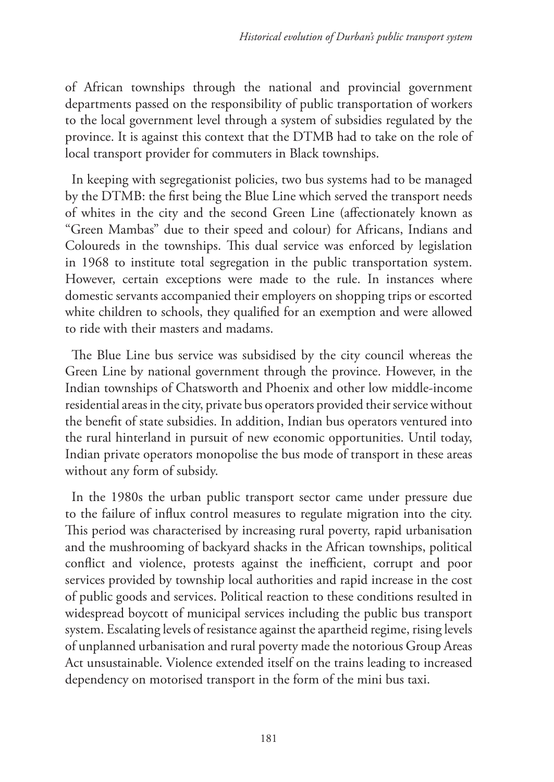of African townships through the national and provincial government departments passed on the responsibility of public transportation of workers to the local government level through a system of subsidies regulated by the province. It is against this context that the DTMB had to take on the role of local transport provider for commuters in Black townships.

In keeping with segregationist policies, two bus systems had to be managed by the DTMB: the first being the Blue Line which served the transport needs of whites in the city and the second Green Line (affectionately known as "Green Mambas" due to their speed and colour) for Africans, Indians and Coloureds in the townships. This dual service was enforced by legislation in 1968 to institute total segregation in the public transportation system. However, certain exceptions were made to the rule. In instances where domestic servants accompanied their employers on shopping trips or escorted white children to schools, they qualified for an exemption and were allowed to ride with their masters and madams.

The Blue Line bus service was subsidised by the city council whereas the Green Line by national government through the province. However, in the Indian townships of Chatsworth and Phoenix and other low middle-income residential areas in the city, private bus operators provided their service without the benefit of state subsidies. In addition, Indian bus operators ventured into the rural hinterland in pursuit of new economic opportunities. Until today, Indian private operators monopolise the bus mode of transport in these areas without any form of subsidy.

In the 1980s the urban public transport sector came under pressure due to the failure of influx control measures to regulate migration into the city. This period was characterised by increasing rural poverty, rapid urbanisation and the mushrooming of backyard shacks in the African townships, political conflict and violence, protests against the inefficient, corrupt and poor services provided by township local authorities and rapid increase in the cost of public goods and services. Political reaction to these conditions resulted in widespread boycott of municipal services including the public bus transport system. Escalating levels of resistance against the apartheid regime, rising levels of unplanned urbanisation and rural poverty made the notorious Group Areas Act unsustainable. Violence extended itself on the trains leading to increased dependency on motorised transport in the form of the mini bus taxi.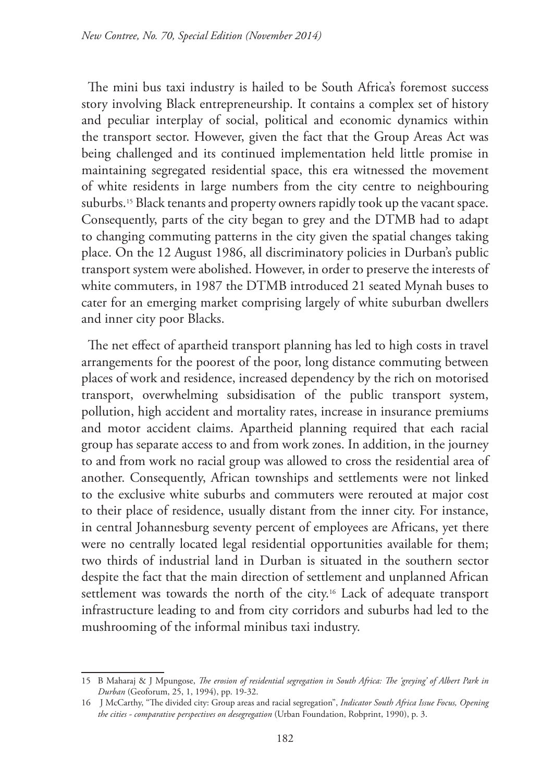The mini bus taxi industry is hailed to be South Africa's foremost success story involving Black entrepreneurship. It contains a complex set of history and peculiar interplay of social, political and economic dynamics within the transport sector. However, given the fact that the Group Areas Act was being challenged and its continued implementation held little promise in maintaining segregated residential space, this era witnessed the movement of white residents in large numbers from the city centre to neighbouring suburbs.<sup>15</sup> Black tenants and property owners rapidly took up the vacant space. Consequently, parts of the city began to grey and the DTMB had to adapt to changing commuting patterns in the city given the spatial changes taking place. On the 12 August 1986, all discriminatory policies in Durban's public transport system were abolished. However, in order to preserve the interests of white commuters, in 1987 the DTMB introduced 21 seated Mynah buses to cater for an emerging market comprising largely of white suburban dwellers and inner city poor Blacks.

The net effect of apartheid transport planning has led to high costs in travel arrangements for the poorest of the poor, long distance commuting between places of work and residence, increased dependency by the rich on motorised transport, overwhelming subsidisation of the public transport system, pollution, high accident and mortality rates, increase in insurance premiums and motor accident claims. Apartheid planning required that each racial group has separate access to and from work zones. In addition, in the journey to and from work no racial group was allowed to cross the residential area of another. Consequently, African townships and settlements were not linked to the exclusive white suburbs and commuters were rerouted at major cost to their place of residence, usually distant from the inner city. For instance, in central Johannesburg seventy percent of employees are Africans, yet there were no centrally located legal residential opportunities available for them; two thirds of industrial land in Durban is situated in the southern sector despite the fact that the main direction of settlement and unplanned African settlement was towards the north of the city.<sup>16</sup> Lack of adequate transport infrastructure leading to and from city corridors and suburbs had led to the mushrooming of the informal minibus taxi industry.

<sup>15</sup> B Maharaj & J Mpungose, *The erosion of residential segregation in South Africa: The 'greying' of Albert Park in Durban* (Geoforum, 25, 1, 1994), pp. 19-32.

<sup>16</sup> J McCarthy, "The divided city: Group areas and racial segregation", *Indicator South Africa Issue Focus, Opening the cities - comparative perspectives on desegregation* (Urban Foundation, Robprint, 1990), p. 3.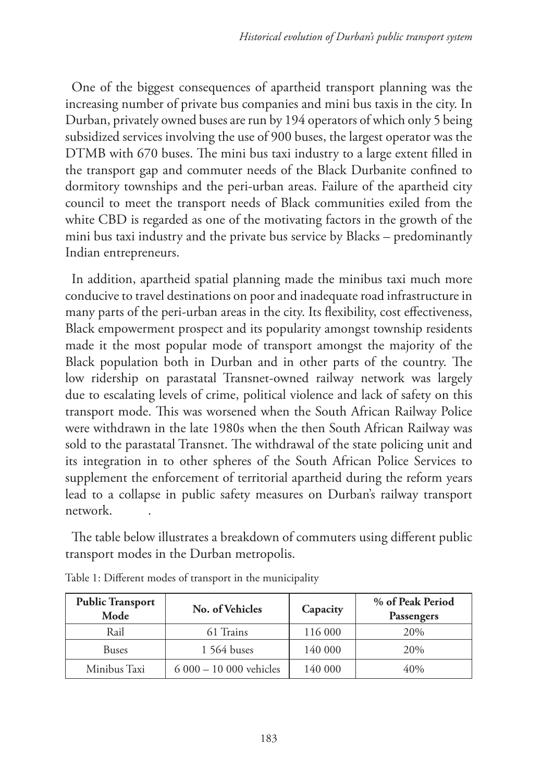One of the biggest consequences of apartheid transport planning was the increasing number of private bus companies and mini bus taxis in the city. In Durban, privately owned buses are run by 194 operators of which only 5 being subsidized services involving the use of 900 buses, the largest operator was the DTMB with 670 buses. The mini bus taxi industry to a large extent filled in the transport gap and commuter needs of the Black Durbanite confined to dormitory townships and the peri-urban areas. Failure of the apartheid city council to meet the transport needs of Black communities exiled from the white CBD is regarded as one of the motivating factors in the growth of the mini bus taxi industry and the private bus service by Blacks – predominantly Indian entrepreneurs.

In addition, apartheid spatial planning made the minibus taxi much more conducive to travel destinations on poor and inadequate road infrastructure in many parts of the peri-urban areas in the city. Its flexibility, cost effectiveness, Black empowerment prospect and its popularity amongst township residents made it the most popular mode of transport amongst the majority of the Black population both in Durban and in other parts of the country. The low ridership on parastatal Transnet-owned railway network was largely due to escalating levels of crime, political violence and lack of safety on this transport mode. This was worsened when the South African Railway Police were withdrawn in the late 1980s when the then South African Railway was sold to the parastatal Transnet. The withdrawal of the state policing unit and its integration in to other spheres of the South African Police Services to supplement the enforcement of territorial apartheid during the reform years lead to a collapse in public safety measures on Durban's railway transport network. .

The table below illustrates a breakdown of commuters using different public transport modes in the Durban metropolis.

| <b>Public Transport</b><br>Mode | No. of Vehicles         | Capacity | % of Peak Period<br>Passengers |
|---------------------------------|-------------------------|----------|--------------------------------|
| Rail                            | 61 Trains               | 116 000  | 20%                            |
| <b>Buses</b>                    | 1 564 buses             | 140 000  | 20%                            |
| Minibus Taxi                    | $6000 - 10000$ vehicles | 140 000  | 40%                            |

Table 1: Different modes of transport in the municipality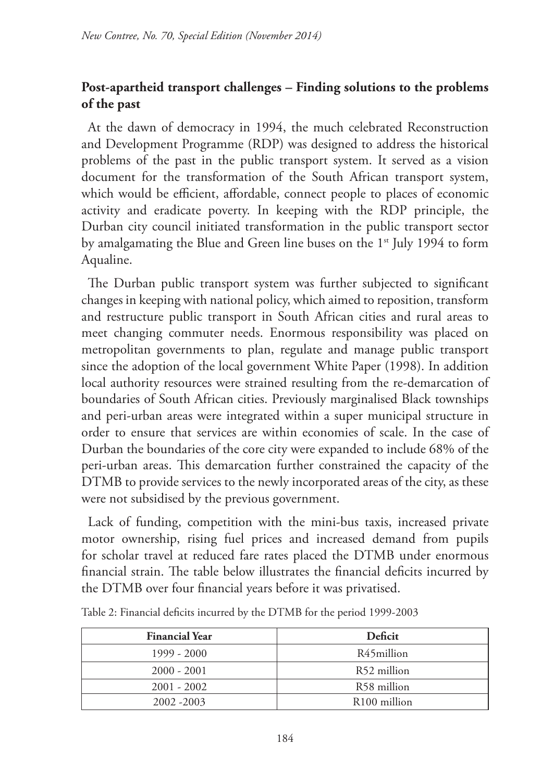## **Post-apartheid transport challenges – Finding solutions to the problems of the past**

At the dawn of democracy in 1994, the much celebrated Reconstruction and Development Programme (RDP) was designed to address the historical problems of the past in the public transport system. It served as a vision document for the transformation of the South African transport system, which would be efficient, affordable, connect people to places of economic activity and eradicate poverty. In keeping with the RDP principle, the Durban city council initiated transformation in the public transport sector by amalgamating the Blue and Green line buses on the 1<sup>st</sup> July 1994 to form Aqualine.

The Durban public transport system was further subjected to significant changes in keeping with national policy, which aimed to reposition, transform and restructure public transport in South African cities and rural areas to meet changing commuter needs. Enormous responsibility was placed on metropolitan governments to plan, regulate and manage public transport since the adoption of the local government White Paper (1998). In addition local authority resources were strained resulting from the re-demarcation of boundaries of South African cities. Previously marginalised Black townships and peri-urban areas were integrated within a super municipal structure in order to ensure that services are within economies of scale. In the case of Durban the boundaries of the core city were expanded to include 68% of the peri-urban areas. This demarcation further constrained the capacity of the DTMB to provide services to the newly incorporated areas of the city, as these were not subsidised by the previous government.

Lack of funding, competition with the mini-bus taxis, increased private motor ownership, rising fuel prices and increased demand from pupils for scholar travel at reduced fare rates placed the DTMB under enormous financial strain. The table below illustrates the financial deficits incurred by the DTMB over four financial years before it was privatised.

| <b>Financial Year</b> | <b>Deficit</b>           |  |
|-----------------------|--------------------------|--|
| $1999 - 2000$         | R45million               |  |
| $2000 - 2001$         | R52 million              |  |
| $2001 - 2002$         | R58 million              |  |
| 2002 - 2003           | R <sub>100</sub> million |  |

Table 2: Financial deficits incurred by the DTMB for the period 1999-2003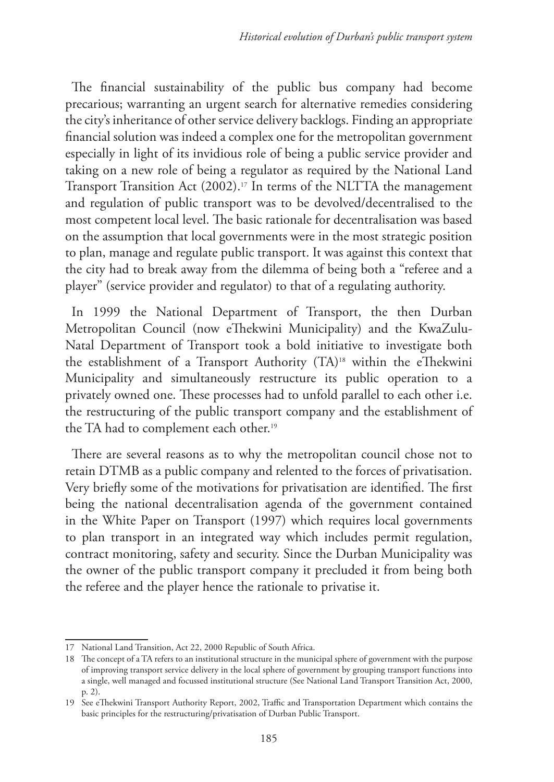The financial sustainability of the public bus company had become precarious; warranting an urgent search for alternative remedies considering the city's inheritance of other service delivery backlogs. Finding an appropriate financial solution was indeed a complex one for the metropolitan government especially in light of its invidious role of being a public service provider and taking on a new role of being a regulator as required by the National Land Transport Transition Act (2002).<sup>17</sup> In terms of the NLTTA the management and regulation of public transport was to be devolved/decentralised to the most competent local level. The basic rationale for decentralisation was based on the assumption that local governments were in the most strategic position to plan, manage and regulate public transport. It was against this context that the city had to break away from the dilemma of being both a "referee and a player" (service provider and regulator) to that of a regulating authority.

In 1999 the National Department of Transport, the then Durban Metropolitan Council (now eThekwini Municipality) and the KwaZulu-Natal Department of Transport took a bold initiative to investigate both the establishment of a Transport Authority (TA)18 within the eThekwini Municipality and simultaneously restructure its public operation to a privately owned one. These processes had to unfold parallel to each other i.e. the restructuring of the public transport company and the establishment of the TA had to complement each other.<sup>19</sup>

There are several reasons as to why the metropolitan council chose not to retain DTMB as a public company and relented to the forces of privatisation. Very briefly some of the motivations for privatisation are identified. The first being the national decentralisation agenda of the government contained in the White Paper on Transport (1997) which requires local governments to plan transport in an integrated way which includes permit regulation, contract monitoring, safety and security. Since the Durban Municipality was the owner of the public transport company it precluded it from being both the referee and the player hence the rationale to privatise it.

<sup>17</sup> National Land Transition, Act 22, 2000 Republic of South Africa.

<sup>18</sup> The concept of a TA refers to an institutional structure in the municipal sphere of government with the purpose of improving transport service delivery in the local sphere of government by grouping transport functions into a single, well managed and focussed institutional structure (See National Land Transport Transition Act, 2000, p. 2).

<sup>19</sup> See eThekwini Transport Authority Report, 2002, Traffic and Transportation Department which contains the basic principles for the restructuring/privatisation of Durban Public Transport.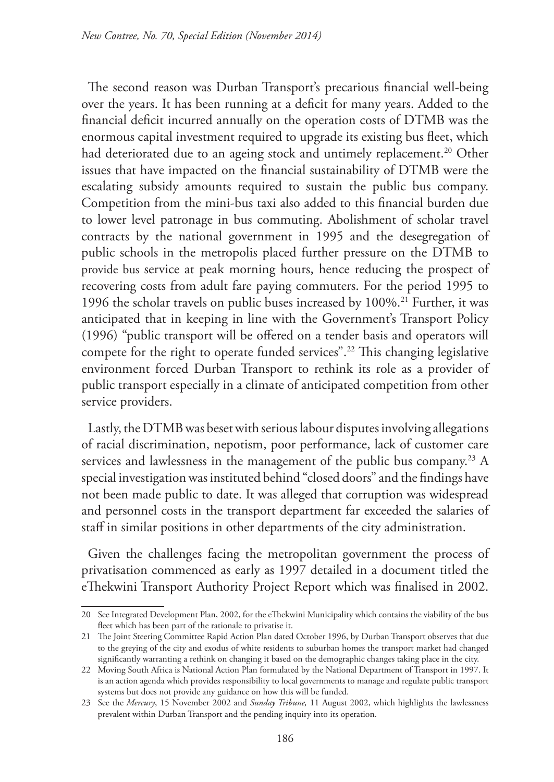The second reason was Durban Transport's precarious financial well-being over the years. It has been running at a deficit for many years. Added to the financial deficit incurred annually on the operation costs of DTMB was the enormous capital investment required to upgrade its existing bus fleet, which had deteriorated due to an ageing stock and untimely replacement.<sup>20</sup> Other issues that have impacted on the financial sustainability of DTMB were the escalating subsidy amounts required to sustain the public bus company. Competition from the mini-bus taxi also added to this financial burden due to lower level patronage in bus commuting. Abolishment of scholar travel contracts by the national government in 1995 and the desegregation of public schools in the metropolis placed further pressure on the DTMB to provide bus service at peak morning hours, hence reducing the prospect of recovering costs from adult fare paying commuters. For the period 1995 to 1996 the scholar travels on public buses increased by  $100\%$ .<sup>21</sup> Further, it was anticipated that in keeping in line with the Government's Transport Policy (1996) "public transport will be offered on a tender basis and operators will compete for the right to operate funded services".22 This changing legislative environment forced Durban Transport to rethink its role as a provider of public transport especially in a climate of anticipated competition from other service providers.

Lastly, the DTMB was beset with serious labour disputes involving allegations of racial discrimination, nepotism, poor performance, lack of customer care services and lawlessness in the management of the public bus company.<sup>23</sup> A special investigation was instituted behind "closed doors" and the findings have not been made public to date. It was alleged that corruption was widespread and personnel costs in the transport department far exceeded the salaries of staff in similar positions in other departments of the city administration.

Given the challenges facing the metropolitan government the process of privatisation commenced as early as 1997 detailed in a document titled the eThekwini Transport Authority Project Report which was finalised in 2002.

<sup>20</sup> See Integrated Development Plan, 2002, for the eThekwini Municipality which contains the viability of the bus fleet which has been part of the rationale to privatise it.

<sup>21</sup> The Joint Steering Committee Rapid Action Plan dated October 1996, by Durban Transport observes that due to the greying of the city and exodus of white residents to suburban homes the transport market had changed significantly warranting a rethink on changing it based on the demographic changes taking place in the city.

<sup>22</sup> Moving South Africa is National Action Plan formulated by the National Department of Transport in 1997. It is an action agenda which provides responsibility to local governments to manage and regulate public transport systems but does not provide any guidance on how this will be funded.

<sup>23</sup> See the *Mercury*, 15 November 2002 and *Sunday Tribune,* 11 August 2002, which highlights the lawlessness prevalent within Durban Transport and the pending inquiry into its operation.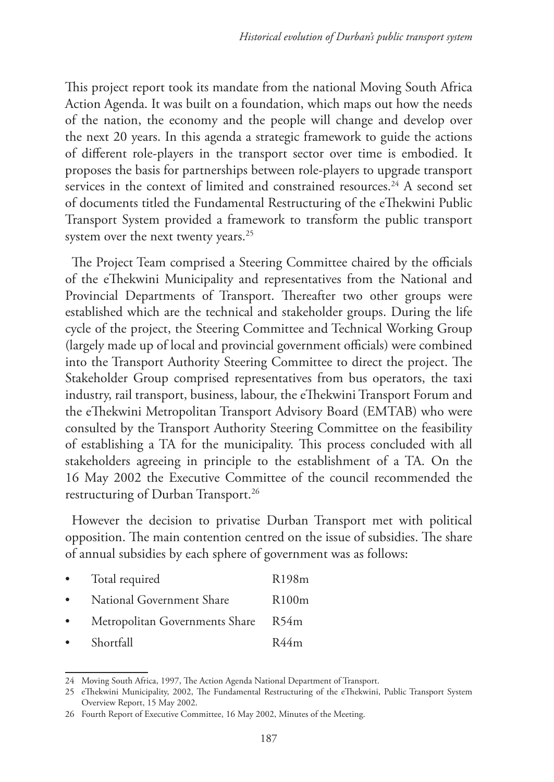This project report took its mandate from the national Moving South Africa Action Agenda. It was built on a foundation, which maps out how the needs of the nation, the economy and the people will change and develop over the next 20 years. In this agenda a strategic framework to guide the actions of different role-players in the transport sector over time is embodied. It proposes the basis for partnerships between role-players to upgrade transport services in the context of limited and constrained resources.<sup>24</sup> A second set of documents titled the Fundamental Restructuring of the eThekwini Public Transport System provided a framework to transform the public transport system over the next twenty years.<sup>25</sup>

The Project Team comprised a Steering Committee chaired by the officials of the eThekwini Municipality and representatives from the National and Provincial Departments of Transport. Thereafter two other groups were established which are the technical and stakeholder groups. During the life cycle of the project, the Steering Committee and Technical Working Group (largely made up of local and provincial government officials) were combined into the Transport Authority Steering Committee to direct the project. The Stakeholder Group comprised representatives from bus operators, the taxi industry, rail transport, business, labour, the eThekwini Transport Forum and the eThekwini Metropolitan Transport Advisory Board (EMTAB) who were consulted by the Transport Authority Steering Committee on the feasibility of establishing a TA for the municipality. This process concluded with all stakeholders agreeing in principle to the establishment of a TA. On the 16 May 2002 the Executive Committee of the council recommended the restructuring of Durban Transport.<sup>26</sup>

However the decision to privatise Durban Transport met with political opposition. The main contention centred on the issue of subsidies. The share of annual subsidies by each sphere of government was as follows:

Total required **R198m** • National Government Share R100m Metropolitan Governments Share R54m • Shortfall R44m

<sup>24</sup> Moving South Africa, 1997, The Action Agenda National Department of Transport.

<sup>25</sup> eThekwini Municipality, 2002, The Fundamental Restructuring of the eThekwini, Public Transport System Overview Report, 15 May 2002.

<sup>26</sup> Fourth Report of Executive Committee, 16 May 2002, Minutes of the Meeting.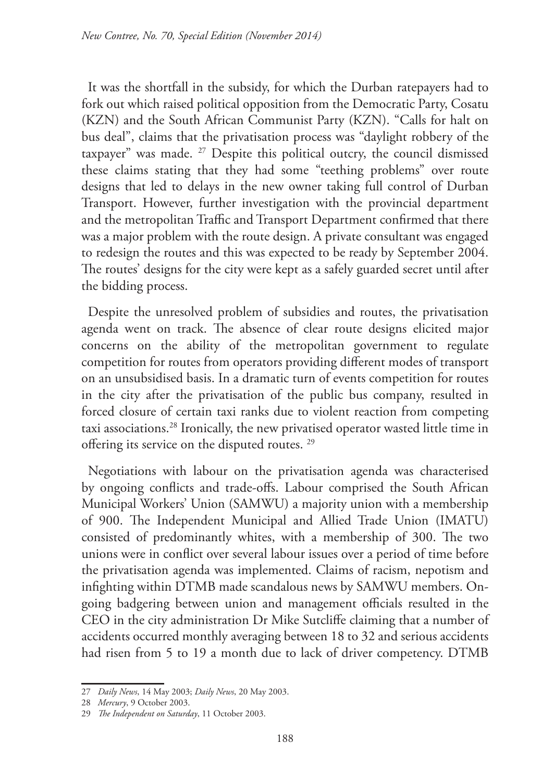It was the shortfall in the subsidy, for which the Durban ratepayers had to fork out which raised political opposition from the Democratic Party, Cosatu (KZN) and the South African Communist Party (KZN). "Calls for halt on bus deal", claims that the privatisation process was "daylight robbery of the taxpayer" was made. 27 Despite this political outcry, the council dismissed these claims stating that they had some "teething problems" over route designs that led to delays in the new owner taking full control of Durban Transport. However, further investigation with the provincial department and the metropolitan Traffic and Transport Department confirmed that there was a major problem with the route design. A private consultant was engaged to redesign the routes and this was expected to be ready by September 2004. The routes' designs for the city were kept as a safely guarded secret until after the bidding process.

Despite the unresolved problem of subsidies and routes, the privatisation agenda went on track. The absence of clear route designs elicited major concerns on the ability of the metropolitan government to regulate competition for routes from operators providing different modes of transport on an unsubsidised basis. In a dramatic turn of events competition for routes in the city after the privatisation of the public bus company, resulted in forced closure of certain taxi ranks due to violent reaction from competing taxi associations.28 Ironically, the new privatised operator wasted little time in offering its service on the disputed routes. 29

Negotiations with labour on the privatisation agenda was characterised by ongoing conflicts and trade-offs. Labour comprised the South African Municipal Workers' Union (SAMWU) a majority union with a membership of 900. The Independent Municipal and Allied Trade Union (IMATU) consisted of predominantly whites, with a membership of 300. The two unions were in conflict over several labour issues over a period of time before the privatisation agenda was implemented. Claims of racism, nepotism and infighting within DTMB made scandalous news by SAMWU members. Ongoing badgering between union and management officials resulted in the CEO in the city administration Dr Mike Sutcliffe claiming that a number of accidents occurred monthly averaging between 18 to 32 and serious accidents had risen from 5 to 19 a month due to lack of driver competency. DTMB

<sup>27</sup> *Daily News*, 14 May 2003; *Daily News*, 20 May 2003.

<sup>28</sup> *Mercury*, 9 October 2003.

<sup>29</sup> *The Independent on Saturday*, 11 October 2003.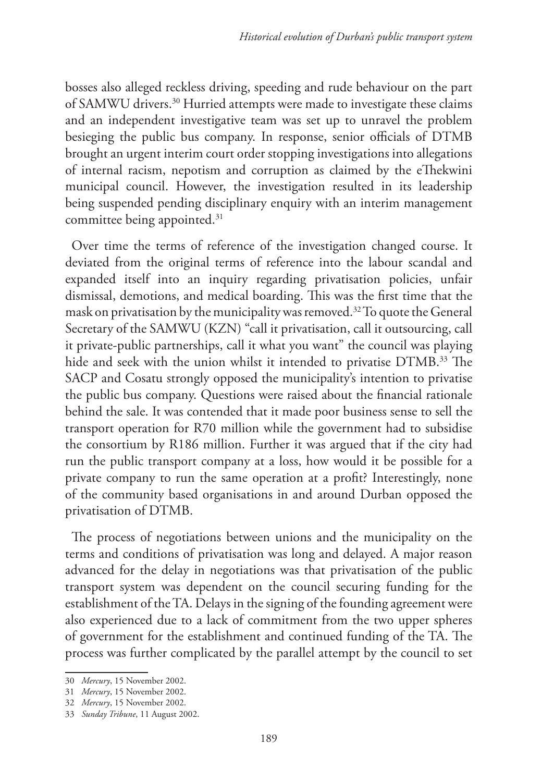bosses also alleged reckless driving, speeding and rude behaviour on the part of SAMWU drivers.30 Hurried attempts were made to investigate these claims and an independent investigative team was set up to unravel the problem besieging the public bus company. In response, senior officials of DTMB brought an urgent interim court order stopping investigations into allegations of internal racism, nepotism and corruption as claimed by the eThekwini municipal council. However, the investigation resulted in its leadership being suspended pending disciplinary enquiry with an interim management committee being appointed.<sup>31</sup>

Over time the terms of reference of the investigation changed course. It deviated from the original terms of reference into the labour scandal and expanded itself into an inquiry regarding privatisation policies, unfair dismissal, demotions, and medical boarding. This was the first time that the mask on privatisation by the municipality was removed.32 To quote the General Secretary of the SAMWU (KZN) "call it privatisation, call it outsourcing, call it private-public partnerships, call it what you want" the council was playing hide and seek with the union whilst it intended to privatise DTMB.<sup>33</sup> The SACP and Cosatu strongly opposed the municipality's intention to privatise the public bus company. Questions were raised about the financial rationale behind the sale. It was contended that it made poor business sense to sell the transport operation for R70 million while the government had to subsidise the consortium by R186 million. Further it was argued that if the city had run the public transport company at a loss, how would it be possible for a private company to run the same operation at a profit? Interestingly, none of the community based organisations in and around Durban opposed the privatisation of DTMB.

The process of negotiations between unions and the municipality on the terms and conditions of privatisation was long and delayed. A major reason advanced for the delay in negotiations was that privatisation of the public transport system was dependent on the council securing funding for the establishment of the TA. Delays in the signing of the founding agreement were also experienced due to a lack of commitment from the two upper spheres of government for the establishment and continued funding of the TA. The process was further complicated by the parallel attempt by the council to set

<sup>30</sup> *Mercury*, 15 November 2002.

<sup>31</sup> *Mercury*, 15 November 2002.

<sup>32</sup> *Mercury*, 15 November 2002.

<sup>33</sup> *Sunday Tribune*, 11 August 2002.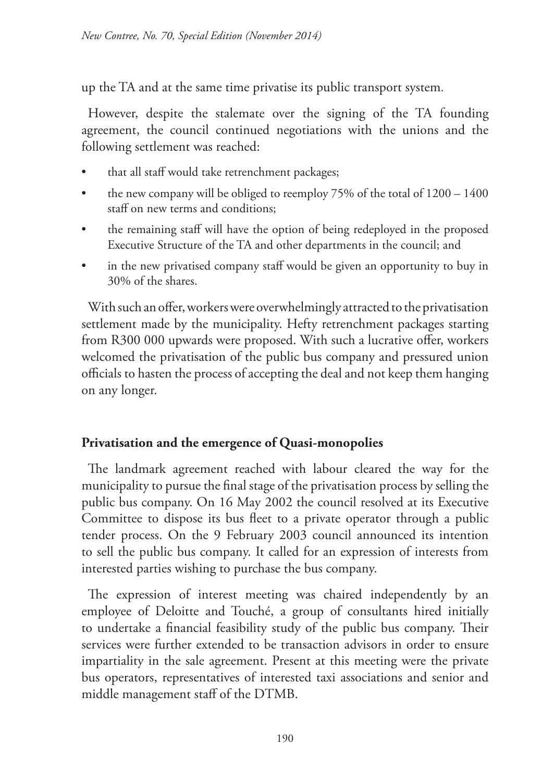up the TA and at the same time privatise its public transport system.

However, despite the stalemate over the signing of the TA founding agreement, the council continued negotiations with the unions and the following settlement was reached:

- that all staff would take retrenchment packages;
- the new company will be obliged to reemploy  $75%$  of the total of  $1200 1400$ staff on new terms and conditions;
- the remaining staff will have the option of being redeployed in the proposed Executive Structure of the TA and other departments in the council; and
- in the new privatised company staff would be given an opportunity to buy in 30% of the shares.

With such an offer, workers were overwhelmingly attracted to the privatisation settlement made by the municipality. Hefty retrenchment packages starting from R300 000 upwards were proposed. With such a lucrative offer, workers welcomed the privatisation of the public bus company and pressured union officials to hasten the process of accepting the deal and not keep them hanging on any longer.

## **Privatisation and the emergence of Quasi-monopolies**

The landmark agreement reached with labour cleared the way for the municipality to pursue the final stage of the privatisation process by selling the public bus company. On 16 May 2002 the council resolved at its Executive Committee to dispose its bus fleet to a private operator through a public tender process. On the 9 February 2003 council announced its intention to sell the public bus company. It called for an expression of interests from interested parties wishing to purchase the bus company.

The expression of interest meeting was chaired independently by an employee of Deloitte and Touché, a group of consultants hired initially to undertake a financial feasibility study of the public bus company. Their services were further extended to be transaction advisors in order to ensure impartiality in the sale agreement. Present at this meeting were the private bus operators, representatives of interested taxi associations and senior and middle management staff of the DTMB.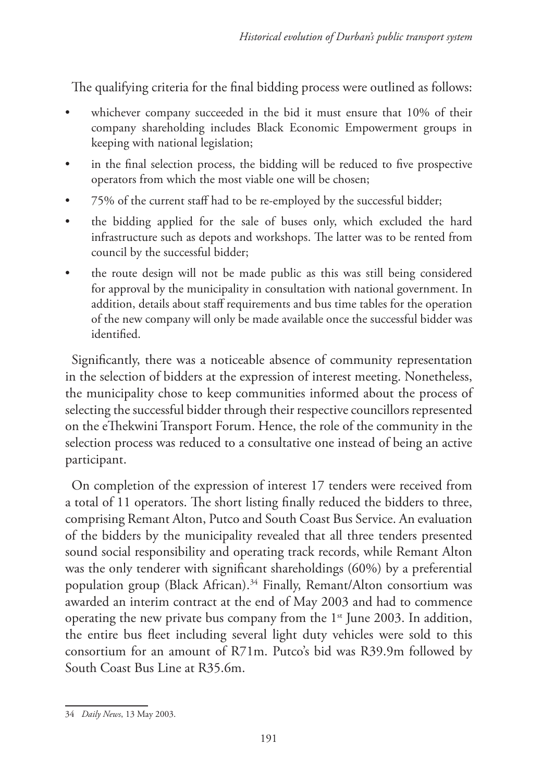The qualifying criteria for the final bidding process were outlined as follows:

- whichever company succeeded in the bid it must ensure that 10% of their company shareholding includes Black Economic Empowerment groups in keeping with national legislation;
- in the final selection process, the bidding will be reduced to five prospective operators from which the most viable one will be chosen;
- 75% of the current staff had to be re-employed by the successful bidder;
- the bidding applied for the sale of buses only, which excluded the hard infrastructure such as depots and workshops. The latter was to be rented from council by the successful bidder;
- the route design will not be made public as this was still being considered for approval by the municipality in consultation with national government. In addition, details about staff requirements and bus time tables for the operation of the new company will only be made available once the successful bidder was identified.

Significantly, there was a noticeable absence of community representation in the selection of bidders at the expression of interest meeting. Nonetheless, the municipality chose to keep communities informed about the process of selecting the successful bidder through their respective councillors represented on the eThekwini Transport Forum. Hence, the role of the community in the selection process was reduced to a consultative one instead of being an active participant.

On completion of the expression of interest 17 tenders were received from a total of 11 operators. The short listing finally reduced the bidders to three, comprising Remant Alton, Putco and South Coast Bus Service. An evaluation of the bidders by the municipality revealed that all three tenders presented sound social responsibility and operating track records, while Remant Alton was the only tenderer with significant shareholdings (60%) by a preferential population group (Black African).<sup>34</sup> Finally, Remant/Alton consortium was awarded an interim contract at the end of May 2003 and had to commence operating the new private bus company from the  $1<sup>st</sup>$  June 2003. In addition, the entire bus fleet including several light duty vehicles were sold to this consortium for an amount of R71m. Putco's bid was R39.9m followed by South Coast Bus Line at R35.6m.

<sup>34</sup> *Daily News*, 13 May 2003.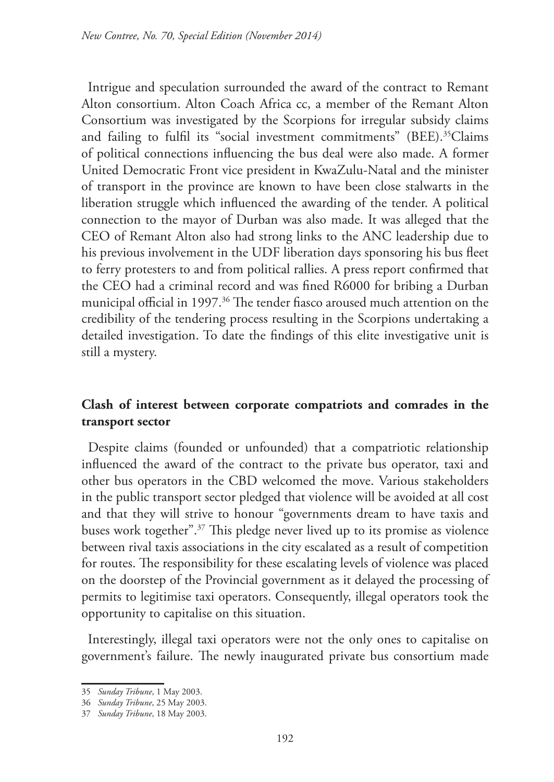Intrigue and speculation surrounded the award of the contract to Remant Alton consortium. Alton Coach Africa cc, a member of the Remant Alton Consortium was investigated by the Scorpions for irregular subsidy claims and failing to fulfil its "social investment commitments" (BEE).<sup>35</sup>Claims of political connections influencing the bus deal were also made. A former United Democratic Front vice president in KwaZulu-Natal and the minister of transport in the province are known to have been close stalwarts in the liberation struggle which influenced the awarding of the tender. A political connection to the mayor of Durban was also made. It was alleged that the CEO of Remant Alton also had strong links to the ANC leadership due to his previous involvement in the UDF liberation days sponsoring his bus fleet to ferry protesters to and from political rallies. A press report confirmed that the CEO had a criminal record and was fined R6000 for bribing a Durban municipal official in 1997.<sup>36</sup> The tender fiasco aroused much attention on the credibility of the tendering process resulting in the Scorpions undertaking a detailed investigation. To date the findings of this elite investigative unit is still a mystery.

### **Clash of interest between corporate compatriots and comrades in the transport sector**

Despite claims (founded or unfounded) that a compatriotic relationship influenced the award of the contract to the private bus operator, taxi and other bus operators in the CBD welcomed the move. Various stakeholders in the public transport sector pledged that violence will be avoided at all cost and that they will strive to honour "governments dream to have taxis and buses work together".37 This pledge never lived up to its promise as violence between rival taxis associations in the city escalated as a result of competition for routes. The responsibility for these escalating levels of violence was placed on the doorstep of the Provincial government as it delayed the processing of permits to legitimise taxi operators. Consequently, illegal operators took the opportunity to capitalise on this situation.

Interestingly, illegal taxi operators were not the only ones to capitalise on government's failure. The newly inaugurated private bus consortium made

<sup>35</sup> *Sunday Tribune*, 1 May 2003.

<sup>36</sup> *Sunday Tribune*, 25 May 2003.

<sup>37</sup> *Sunday Tribune*, 18 May 2003.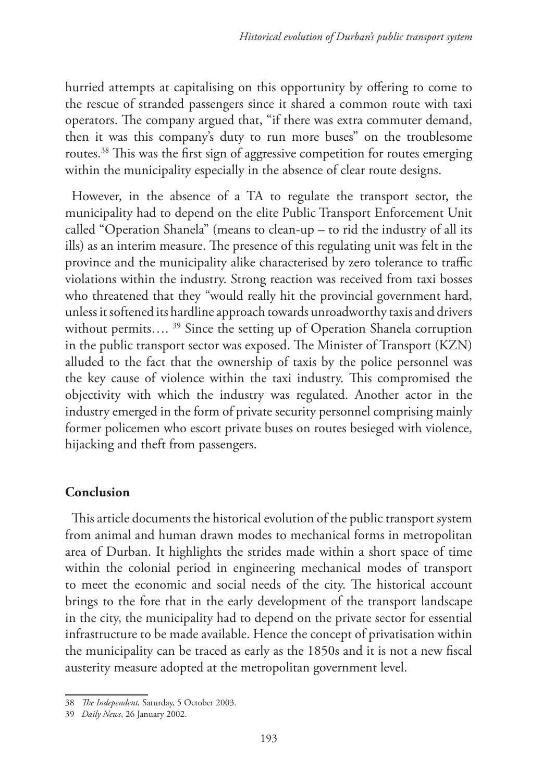hurried attempts at capitalising on this opportunity by offering to come to the rescue of stranded passengers since it shared a common route with taxi operators. The company argued that, "if there was extra commuter demand, then it was this company's duty to run more buses" on the troublesome routes.38 This was the first sign of aggressive competition for routes emerging within the municipality especially in the absence of clear route designs.

However, in the absence of a TA to regulate the transport sector, the municipality had to depend on the elite Public Transport Enforcement Unit called "Operation Shanela" (means to clean-up – to rid the industry of all its ills) as an interim measure. The presence of this regulating unit was felt in the province and the municipality alike characterised by zero tolerance to traffic violations within the industry. Strong reaction was received from taxi bosses who threatened that they "would really hit the provincial government hard, unless it softened its hardline approach towards unroadworthy taxis and drivers without permits....<sup>39</sup> Since the setting up of Operation Shanela corruption in the public transport sector was exposed. The Minister of Transport (KZN) alluded to the fact that the ownership of taxis by the police personnel was the key cause of violence within the taxi industry. This compromised the objectivity with which the industry was regulated. Another actor in the industry emerged in the form of private security personnel comprising mainly former policemen who escort private buses on routes besieged with violence, hijacking and theft from passengers.

### **Conclusion**

This article documents the historical evolution of the public transport system from animal and human drawn modes to mechanical forms in metropolitan area of Durban. It highlights the strides made within a short space of time within the colonial period in engineering mechanical modes of transport to meet the economic and social needs of the city. The historical account brings to the fore that in the early development of the transport landscape in the city, the municipality had to depend on the private sector for essential infrastructure to be made available. Hence the concept of privatisation within the municipality can be traced as early as the 1850s and it is not a new fiscal austerity measure adopted at the metropolitan government level.

<sup>38</sup> *The Independent,* Saturday, 5 October 2003.

<sup>39</sup> *Daily News*, 26 January 2002.